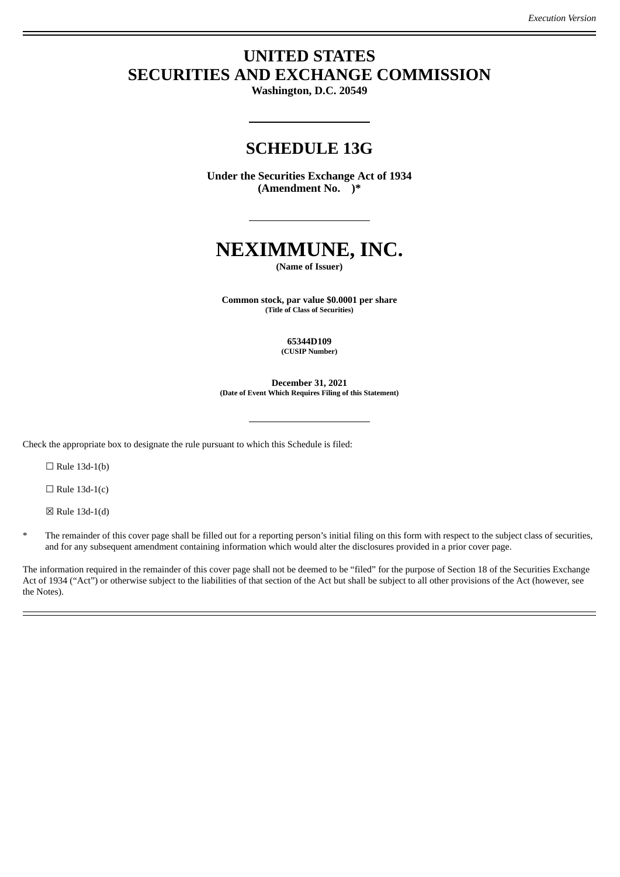## **UNITED STATES SECURITIES AND EXCHANGE COMMISSION**

**Washington, D.C. 20549**

### **SCHEDULE 13G**

**Under the Securities Exchange Act of 1934 (Amendment No. )\***

# **NEXIMMUNE, INC.**

**(Name of Issuer)**

**Common stock, par value \$0.0001 per share (Title of Class of Securities)**

> **65344D109 (CUSIP Number)**

**December 31, 2021 (Date of Event Which Requires Filing of this Statement)**

Check the appropriate box to designate the rule pursuant to which this Schedule is filed:

 $\Box$  Rule 13d-1(b)

 $\Box$  Rule 13d-1(c)

☒ Rule 13d-1(d)

The remainder of this cover page shall be filled out for a reporting person's initial filing on this form with respect to the subject class of securities, and for any subsequent amendment containing information which would alter the disclosures provided in a prior cover page.

The information required in the remainder of this cover page shall not be deemed to be "filed" for the purpose of Section 18 of the Securities Exchange Act of 1934 ("Act") or otherwise subject to the liabilities of that section of the Act but shall be subject to all other provisions of the Act (however, see the Notes).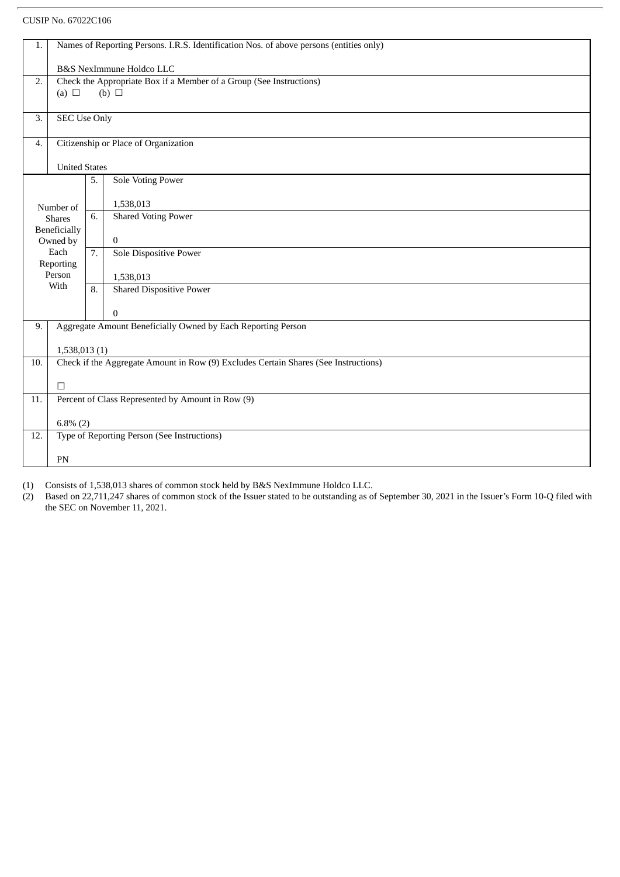#### CUSIP No. 67022C106

| 1.               | Names of Reporting Persons. I.R.S. Identification Nos. of above persons (entities only) |                  |                                 |  |  |
|------------------|-----------------------------------------------------------------------------------------|------------------|---------------------------------|--|--|
|                  | B&S NexImmune Holdco LLC                                                                |                  |                                 |  |  |
| 2.               | Check the Appropriate Box if a Member of a Group (See Instructions)                     |                  |                                 |  |  |
|                  | (a) $\Box$                                                                              |                  | $(b)$ $\square$                 |  |  |
| $\overline{3}$ . | <b>SEC Use Only</b>                                                                     |                  |                                 |  |  |
|                  |                                                                                         |                  |                                 |  |  |
| $\overline{4}$ . | Citizenship or Place of Organization                                                    |                  |                                 |  |  |
|                  | <b>United States</b>                                                                    |                  |                                 |  |  |
|                  |                                                                                         | 5.               | Sole Voting Power               |  |  |
|                  | Number of                                                                               |                  | 1,538,013                       |  |  |
|                  | <b>Shares</b>                                                                           | $\overline{6}$ . | <b>Shared Voting Power</b>      |  |  |
|                  | Beneficially<br>Owned by                                                                |                  | $\bf{0}$                        |  |  |
|                  | Each                                                                                    | $\overline{7}$ . | <b>Sole Dispositive Power</b>   |  |  |
|                  | Reporting                                                                               |                  |                                 |  |  |
|                  | Person<br>With                                                                          |                  | 1,538,013                       |  |  |
|                  |                                                                                         | 8.               | <b>Shared Dispositive Power</b> |  |  |
|                  |                                                                                         |                  | $\theta$                        |  |  |
| 9.               | Aggregate Amount Beneficially Owned by Each Reporting Person                            |                  |                                 |  |  |
|                  | 1,538,013(1)                                                                            |                  |                                 |  |  |
| 10.              | Check if the Aggregate Amount in Row (9) Excludes Certain Shares (See Instructions)     |                  |                                 |  |  |
|                  |                                                                                         |                  |                                 |  |  |
| 11.              | $\Box$<br>Percent of Class Represented by Amount in Row (9)                             |                  |                                 |  |  |
|                  |                                                                                         |                  |                                 |  |  |
|                  | $6.8\%$ (2)                                                                             |                  |                                 |  |  |
| 12.              | Type of Reporting Person (See Instructions)                                             |                  |                                 |  |  |
|                  | PN                                                                                      |                  |                                 |  |  |
|                  |                                                                                         |                  |                                 |  |  |

(1) Consists of 1,538,013 shares of common stock held by B&S NexImmune Holdco LLC.

(2) Based on 22,711,247 shares of common stock of the Issuer stated to be outstanding as of September 30, 2021 in the Issuer's Form 10-Q filed with the SEC on November 11, 2021.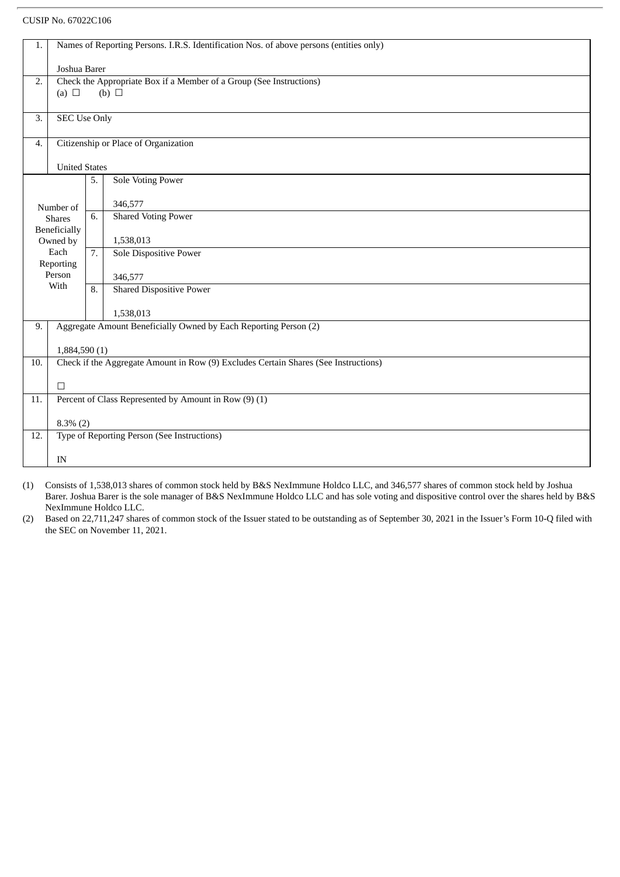#### CUSIP No. 67022C106

| 1.                       | Names of Reporting Persons. I.R.S. Identification Nos. of above persons (entities only)              |                  |                                      |  |  |  |
|--------------------------|------------------------------------------------------------------------------------------------------|------------------|--------------------------------------|--|--|--|
|                          | Joshua Barer                                                                                         |                  |                                      |  |  |  |
| 2.                       | Check the Appropriate Box if a Member of a Group (See Instructions)                                  |                  |                                      |  |  |  |
|                          | (a) $\Box$                                                                                           |                  | (b) $\Box$                           |  |  |  |
|                          |                                                                                                      |                  |                                      |  |  |  |
| 3.                       | <b>SEC Use Only</b>                                                                                  |                  |                                      |  |  |  |
| 4.                       |                                                                                                      |                  | Citizenship or Place of Organization |  |  |  |
|                          |                                                                                                      |                  |                                      |  |  |  |
|                          | <b>United States</b>                                                                                 |                  |                                      |  |  |  |
|                          |                                                                                                      | 5.               | <b>Sole Voting Power</b>             |  |  |  |
|                          |                                                                                                      |                  |                                      |  |  |  |
|                          | Number of                                                                                            |                  | 346,577                              |  |  |  |
|                          | <b>Shares</b>                                                                                        | 6.               | <b>Shared Voting Power</b>           |  |  |  |
| Beneficially<br>Owned by |                                                                                                      |                  | 1,538,013                            |  |  |  |
| Each                     |                                                                                                      | $\overline{7}$ . | <b>Sole Dispositive Power</b>        |  |  |  |
| Reporting                |                                                                                                      |                  |                                      |  |  |  |
| Person                   |                                                                                                      |                  | 346,577                              |  |  |  |
| With                     |                                                                                                      | 8.               | <b>Shared Dispositive Power</b>      |  |  |  |
|                          |                                                                                                      |                  |                                      |  |  |  |
|                          |                                                                                                      |                  | 1,538,013                            |  |  |  |
| 9.                       | Aggregate Amount Beneficially Owned by Each Reporting Person (2)                                     |                  |                                      |  |  |  |
|                          |                                                                                                      |                  |                                      |  |  |  |
| 10.                      | 1,884,590 (1)<br>Check if the Aggregate Amount in Row (9) Excludes Certain Shares (See Instructions) |                  |                                      |  |  |  |
|                          |                                                                                                      |                  |                                      |  |  |  |
|                          | $\Box$                                                                                               |                  |                                      |  |  |  |
| 11.                      | Percent of Class Represented by Amount in Row (9) (1)                                                |                  |                                      |  |  |  |
|                          |                                                                                                      |                  |                                      |  |  |  |
|                          | $8.3\%$ (2)                                                                                          |                  |                                      |  |  |  |
| 12.                      | Type of Reporting Person (See Instructions)                                                          |                  |                                      |  |  |  |
|                          |                                                                                                      |                  |                                      |  |  |  |
|                          | IN                                                                                                   |                  |                                      |  |  |  |

(1) Consists of 1,538,013 shares of common stock held by B&S NexImmune Holdco LLC, and 346,577 shares of common stock held by Joshua Barer. Joshua Barer is the sole manager of B&S NexImmune Holdco LLC and has sole voting and dispositive control over the shares held by B&S NexImmune Holdco LLC.

(2) Based on 22,711,247 shares of common stock of the Issuer stated to be outstanding as of September 30, 2021 in the Issuer's Form 10-Q filed with the SEC on November 11, 2021.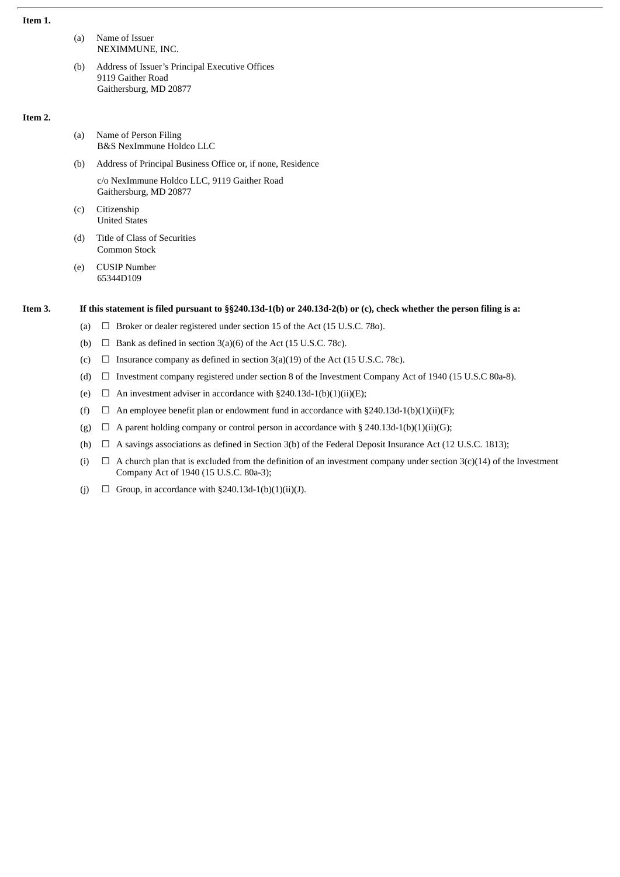#### **Item 1.**

- (a) Name of Issuer NEXIMMUNE, INC.
- (b) Address of Issuer's Principal Executive Offices 9119 Gaither Road Gaithersburg, MD 20877

#### **Item 2.**

- (a) Name of Person Filing B&S NexImmune Holdco LLC
- (b) Address of Principal Business Office or, if none, Residence c/o NexImmune Holdco LLC, 9119 Gaither Road Gaithersburg, MD 20877
- (c) Citizenship United States
- (d) Title of Class of Securities Common Stock
- (e) CUSIP Number 65344D109

#### It this statement is filed pursuant to §§240.13d-1(b) or 240.13d-2(b) or (c), check whether the person filing is a:

- (a)  $\Box$  Broker or dealer registered under section 15 of the Act (15 U.S.C. 780).
- (b)  $\Box$  Bank as defined in section 3(a)(6) of the Act (15 U.S.C. 78c).
- (c)  $\Box$  Insurance company as defined in section 3(a)(19) of the Act (15 U.S.C. 78c).
- (d) ☐ Investment company registered under section 8 of the Investment Company Act of 1940 (15 U.S.C 80a-8).
- (e)  $\Box$  An investment adviser in accordance with §240.13d-1(b)(1)(ii)(E);
- (f)  $\Box$  An employee benefit plan or endowment fund in accordance with §240.13d-1(b)(1)(ii)(F);
- (g)  $\Box$  A parent holding company or control person in accordance with § 240.13d-1(b)(1)(ii)(G);
- (h)  $\Box$  A savings associations as defined in Section 3(b) of the Federal Deposit Insurance Act (12 U.S.C. 1813);
- (i)  $\Box$  A church plan that is excluded from the definition of an investment company under section 3(c)(14) of the Investment Company Act of 1940 (15 U.S.C. 80a-3);
- (j)  $\Box$  Group, in accordance with §240.13d-1(b)(1)(ii)(J).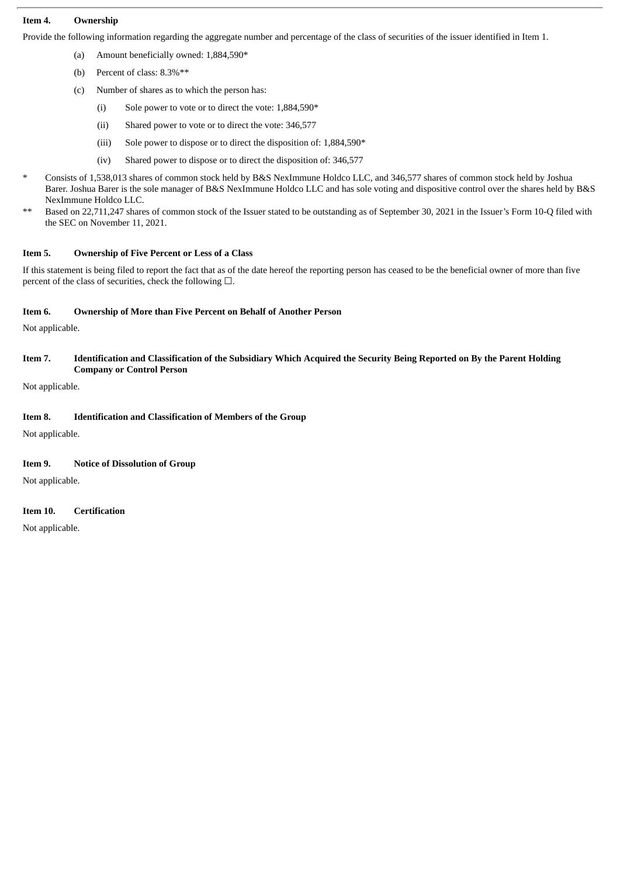#### **Item 4. Ownership**

Provide the following information regarding the aggregate number and percentage of the class of securities of the issuer identified in Item 1.

- (a) Amount beneficially owned: 1,884,590\*
- (b) Percent of class: 8.3%\*\*
- (c) Number of shares as to which the person has:
	- (i) Sole power to vote or to direct the vote: 1,884,590\*
	- (ii) Shared power to vote or to direct the vote: 346,577
	- (iii) Sole power to dispose or to direct the disposition of: 1,884,590\*
	- (iv) Shared power to dispose or to direct the disposition of: 346,577
- \* Consists of 1,538,013 shares of common stock held by B&S NexImmune Holdco LLC, and 346,577 shares of common stock held by Joshua Barer. Joshua Barer is the sole manager of B&S NexImmune Holdco LLC and has sole voting and dispositive control over the shares held by B&S NexImmune Holdco LLC.
- \*\* Based on 22,711,247 shares of common stock of the Issuer stated to be outstanding as of September 30, 2021 in the Issuer's Form 10-Q filed with the SEC on November 11, 2021.

#### **Item 5. Ownership of Five Percent or Less of a Class**

If this statement is being filed to report the fact that as of the date hereof the reporting person has ceased to be the beneficial owner of more than five percent of the class of securities, check the following  $\Box$ .

#### **Item 6. Ownership of More than Five Percent on Behalf of Another Person**

Not applicable.

#### Item 7. Identification and Classification of the Subsidiary Which Acquired the Security Being Reported on By the Parent Holding **Company or Control Person**

Not applicable.

#### **Item 8. Identification and Classification of Members of the Group**

Not applicable.

#### **Item 9. Notice of Dissolution of Group**

Not applicable.

#### **Item 10. Certification**

Not applicable.